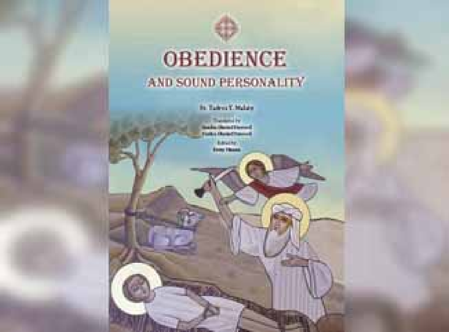### **OBEDIENCE** AND SOUND PERSONALITY

In Talent EMalay

**College Pr Linuxer**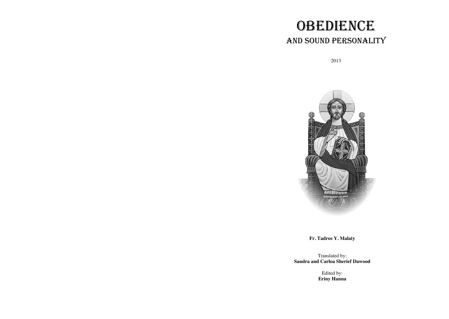# **OBEDIENCE** AND SOUND PERSONALITY

2013



**Fr. Tadros Y. Malaty**

Translated by: **Sandra and Carloa Sherief Dawood**

> Edited by: **Eriny Hanna**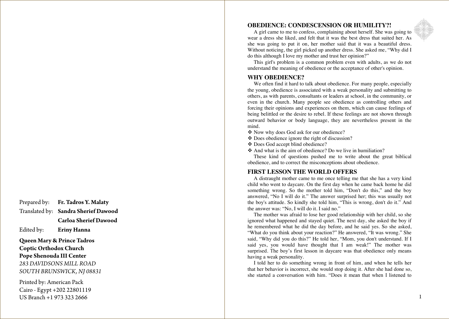Prepared by: **Fr. Tadros Y. Malaty** Translated by: **Sandra Sherief Dawood**

 **Carloa Sherief Dawood**

Edited by: **Eriny Hanna**

**Queen Mary & Prince Tadros Coptic Orthodox Church Pope Shenouda III Center** *283 DAVIDSONS MILL ROAD SOUTH BRUNSWICK, NJ 08831*

Printed by: American Pack Cairo - Egypt +202 22801119 US Branch +1 973 323 2666

#### **OBEDIENCE: CONDESCENSION OR HUMILITY ? !**

A girl came to me to confess, complaining about herself. She was going to wear a dress she liked, and felt that it was the best dress that suited her. As she was going to put it on, her mother said that it was a beautiful dress. Without noticing, the girl picked up another dress. She asked me, "Why did I do this although I love my mother and trust her opinion? "

This girl's problem is a common problem even with adults, as we do not understand the meaning of obedience or the acceptance of other's opinion.

#### **WHY OBEDIENCE?**

We often find it hard to talk about obedience. For many people, especially the young, obedience is associated with a weak personality and submitting to others, as with parents, consultants or leaders at school, in the community , or even in the church. Many people see obedience as controlling others and forcing their opinions and experiences on them, which can cause feelings of being belittled or the desire to rebel. If these feelings are not shown through outward behavior or body language, they are nevertheless present in the mind .

- Now why does God ask for our obedience?
- Does obedience ignore the right of discussion ?
- Does God accept blind obedience?
- $\triangle$  And what is the aim of obedience? Do we live in humiliation?

These kind of questions pushed me to write about the great biblical obedience, and to correct the misconceptions about obedience.

#### **FIRST LESSON THE WORLD OFFERS**

A distraught mother came to me once telling me that she has a very kind child who went to daycare. On the first day when he came back home he did something wrong. So the mother told him , " Don't do this , " and the boy answered, " N o I will do it . " The answer surprised her; this was usually not the boy's attitude. So kindly she told him, " This is wrong, don't do it. " And the answer was: "No, I will do it . I said no. "

The mother was afraid to lose her good relationship with her child, so she ignored what happened and stayed quiet. The next day , she asked the boy if he remembered what he did the day before, and he said yes. So she asked, "What do you think about your reaction?" He answered, "It was wrong." She said, "Why did you do this?" He told her, "Mom, you don't understand. If I said yes , you would have thought that I am weak! " The mother was surprised. The boy's first lesson in daycare was that obedience only means having a weak personality.

I told her to do something wrong in front of him, and when he tells her that her behavior is incorrect, she would stop doing it. After she had done so, she started a conversation with him. "Does it mean that when I listened to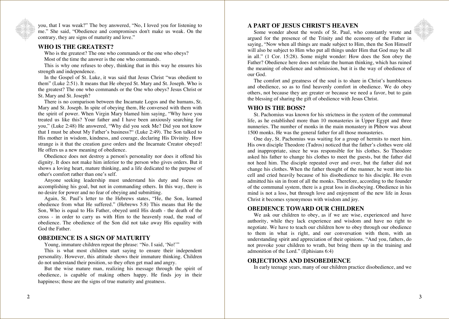you, that I was weak?" The boy answered, "No, I loved you for listening to me." She said, "Obedience and compromises don't make us weak. On the contrary, they are signs of maturity and love."

#### **WHO IS THE GREATEST?**

Who is the greatest? The one who commands or the one who obeys? Most of the time the answer is the one who commands.

This is why one refuses to obey, thinking that in this way he ensures his strength and independence.

In the Gospel of St. Luke, it was said that Jesus Christ "was obedient to them" (Luke 2:51). It means that He obeyed St. Mary and St. Joseph. Who is the greatest? The one who commands or the One who obeys? Jesus Christ or St. Mary and St. Joseph?

There is no comparison between the Incarnate Logos and the humans, St. Mary and St. Joseph. In spite of obeying them, He conversed with them with the spirit of power. When Virgin Mary blamed him saying, "Why have you treated us like this? Your father and I have been anxiously searching for you," (Luke 2:48) He answered, "Why did you seek Me? Did you not know that I must be about My Father's business?" (Luke 2:49). The Son talked to His mother in wisdom, kindness, and courage, declaring His Divinity. How strange is it that the creation gave orders and the Incarnate Creator obeyed! He offers us a new meaning of obedience.

Obedience does not destroy a person's personality nor does it offend his dignity. It does not make him inferior to the person who gives orders. But it shows a loving heart, mature thinking, and a life dedicated to the purpose of other's comfort rather than one's self.

Anyone seeking leadership must understand his duty and focus on accomplishing his goal, but not in commanding others. In this way, there is no desire for power and no fear of obeying and submitting.

Again, St. Paul's letter to the Hebrews states, "He, the Son, learned obedience from what He suffered." (Hebrews 5:8) This means that He the Son, Who is equal to His Father, obeyed until His death - the death of the cross - in order to carry us with Him to the heavenly road, the road of obedience. The obedience of the Son did not take away His equality with God the Father.

#### **OBEDIENCE IS A SIGN OF MATURITY**

Young, immature children repeat the phrase: "No. I said, 'No!'"

This is what most children start saying to ensure their independent personality. However, this attitude shows their immature thinking. Children do not understand their position, so they often get mad and angry.

But the wise mature man, realizing his message through the spirit of obedience, is capable of making others happy. He finds joy in their happiness; those are the signs of true maturity and greatness.

#### **A PART OF JESUS CHRIST'S HEAVEN**

Some wonder about the words of St. Paul, who constantly wrote and argued for the presence of the Trinity and the economy of the Father in saying, "Now when all things are made subject to Him, then the Son Himself will also be subject to Him who put all things under Him that God may be all in all." (1 Cor. 15:28). Some might wonder: How does the Son obey the Father? Obedience here does not relate the human thinking, which has ruined the meaning of obedience and submission, but it is the way of obedience of our God.

The comfort and greatness of the soul is to share in Christ's humbleness and obedience, so as to find heavenly comfort in obedience. We do obey others, not because they are greater or because we need a favor, but to gain the blessing of sharing the gift of obedience with Jesus Christ.

#### **WHO IS THE BOSS?**

St. Pachomius was known for his strictness in the system of the communal life, as he established more than 10 monasteries in Upper Egypt and three nunneries. The number of monks in the main monastery in Phbow was about 1500 monks. He was the general father for all those monasteries.

One day, St. Pachomius was waiting for a group of hermits to meet him. His own disciple Theodore (Tadros) noticed that the father's clothes were old and inappropriate, since he was responsible for his clothes. So Theodore asked his father to change his clothes to meet the guests, but the father did not heed him. The disciple repeated over and over, but the father did not change his clothes. When the father thought of the manner, he went into his cell and cried heavily because of his disobedience to his disciple. He even admitted his sin in front of all the monks. Therefore, according to the founder of the communal system, there is a great loss in disobeying. Obedience in his mind is not a loss, but through love and enjoyment of the new life in Jesus Christ it becomes synonymous with wisdom and joy.

#### **OBEDIENCE TOWARD OUR CHILDREN**

We ask our children to obey, as if we are wise, experienced and have authority, while they lack experience and wisdom and have no right to negotiate. We have to teach our children how to obey through our obedience to them in what is right, and our conversation with them, with an understanding spirit and appreciation of their opinions. "And you, fathers, do not provoke your children to wrath, but bring them up in the training and admonition of the Lord." (Ephisians 6:4)

#### **OBJECTIONS AND DISOBEDIENCE**

In early teenage years, many of our children practice disobedience, and we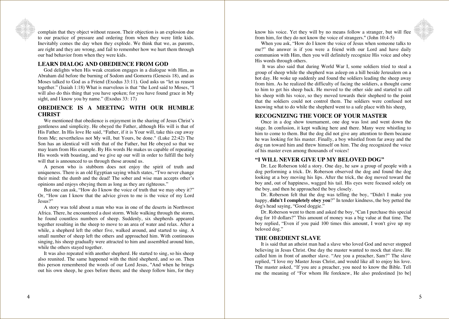

complain that they object without reason. Their objection is an explosion due to our practice of pressure and ordering from when they were little kids. Inevitably comes the day when they explode. We think that we, as parents, are right and they are wrong, and fail to remember how we hurt them through our bad behavior from when they were kids.

#### **LEARN DIALOG AND OBEDIENCE FROM GOD**

God delights when His weak creation engages in a dialogue with Him, as Abraham did before the burning of Sodom and Gomorra (Genesis 18), and as Moses talked to God as a Friend (Exodus 33:11). God asks us "let us reason together." (Isaiah 1:18) What is marvelous is that "the Lord said to Moses, "I will also do this thing that you have spoken; for you have found grace in My sight, and I know you by name." (Exodus 33: 17)

#### **OBEDIENCE IS A MEETING WITH OUR HUMBLE CHRIST**

We mentioned that obedience is enjoyment in the sharing of Jesus Christ's gentleness and simplicity. He obeyed the Father, although His will is that of His Father. In His love He said, "Father, if it is Your will, take this cup away from Me; nevertheless not My will, but Yours, be done." (Luke 22:42) The Son has an identical will with that of the Father, but He obeyed so that we may learn from His example. By His words He makes us capable of repeating His words with boasting, and we give up our will in order to fulfill the holy will that is announced to us through those around us.

A person who is stubborn does not enjoy the spirit of truth and uniqueness. There is an old Egyptian saying which states, "Two never change their mind: the dumb and the dead! The sober and wise man accepts other's opinions and enjoys obeying them as long as they are righteous."

But one can ask, "How do I know the voice of truth that we may obey it?" Or, "How can I know that the advice given to me is the voice of my Lord Jesus?"

A story was told about a man who was in one of the deserts in Northwest Africa. There, he encountered a dust storm. While walking through the storm, he found countless numbers of sheep. Suddenly, six shepherds appeared together resulting in the sheep to move to an area of water and relax. After a while, a shepherd left the other five, walked around, and started to sing. A small number of sheep left the others and approached him. With continuous singing, his sheep gradually were attracted to him and assembled around him, while the others stayed together.

It was also repeated with another shepherd. He started to sing, so his sheep also reunited. The same happened with the third shepherd, and so on. Then this person remembered the words of our Lord Jesus, "And when he brings out his own sheep, he goes before them; and the sheep follow him, for they know his voice. Yet they will by no means follow a stranger, but will flee from him, for they do not know the voice of strangers." (John 10:4-5)

When you ask, "How do I know the voice of Jesus when someone talks to me?" the answer is if you were a friend with our Lord and have daily communion with Him, then you will definitely recognize His voice and obey His words through others.

It was also said that during World War I, some soldiers tried to steal a group of sheep while the shepherd was asleep on a hill beside Jerusalem on a hot day. He woke up suddenly and found the soldiers leading the sheep away from him. As he realized the difficulty of facing the soldiers, a thought came to him to get his sheep back. He moved to the other side and started to call his sheep with his voice, so they moved towards their shepherd to the point that the soldiers could not control them. The soldiers were confused not knowing what to do while the shepherd went to a safe place with his sheep.

#### **RECOGNIZING THE VOICE OF YOUR MASTER**

Once in a dog show tournament, one dog was lost and went down the stage. In confusion, it kept walking here and there. Many were whistling to him to come to them. But the dog did not give any attention to them because he was looking for his master. Finally, a boy whistled from far away and the dog ran toward him and threw himself on him. The dog recognized the voice of his master even among thousands of voices!

#### **"I WILL NEVER GIVE UP MY BELOVED DOG"**

Dr. Lee Roberson told a story. One day, he saw a group of people with a dog performing a trick. Dr. Roberson observed the dog and found the dog looking at a boy moving his lips. After the trick, the dog moved toward the boy and, out of happiness, wagged his tail. His eyes were focused solely on the boy, and then he approached the boy closely.

Dr. Roberson felt that the dog was telling the boy, "Didn't I make you happy, **didn't I completely obey you**?" In tender kindness, the boy petted the dog's head saying, "Good doggie."

Dr. Roberson went to them and asked the boy, "Can I purchase this special dog for 10 dollars?" This amount of money was a big value at that time. The boy replied, "Even if you paid 100 times this amount, I won't give up my beloved dog."

#### **THE OBEDIENT SLAVE**

It is said that an atheist man had a slave who loved God and never stopped believing in Jesus Christ. One day the master wanted to mock that slave. He called him in front of another slave. "Are you a preacher, Sam?" The slave replied, "I love my Master Jesus Christ, and would like all to enjoy his love. The master asked, "If you are a preacher, you need to know the Bible. Tell me the meaning of "For whom He foreknew, He also predestined [to be]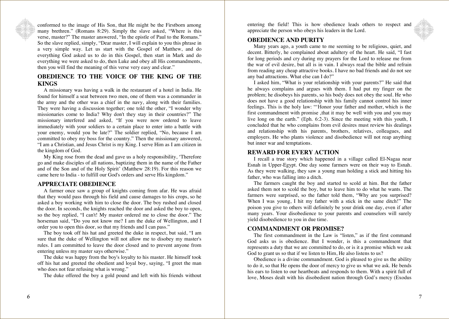conformed to the image of His Son, that He might be the Firstborn among many brethren." (Romans 8:29). Simply the slave asked, "Where is this verse, master?" The master answered, "In the epistle of Paul to the Romans." So the slave replied, simply, "Dear master, I will explain to you this phrase in a very simple way. Let us start with the Gospel of Matthew, and do everything God asked us to do in this Gospel, then start in Mark and do everything we were asked to do, then Luke and obey all His commandments, then you will find the meaning of this verse very easy and clear."

#### **OBEDIENCE TO THE VOICE OF THE KING OF THE KINGS**

A missionary was having a walk in the restaurant of a hotel in India. He found for himself a seat between two men, one of them was a commander in the army and the other was a chief in the navy, along with their families. They were having a discussion together; one told the other, "I wonder why missionaries come to India? Why don't they stay in their countries?" The missionary interfered and asked, "If you were now ordered to leave immediately with your soldiers to a certain place to enter into a battle with your enemy, would you be late?" The soldier replied, "No, because I am committed to obey my boss for the country." Then the missionary answered, "I am a Christian, and Jesus Christ is my King. I serve Him as I am citizen in the kingdom of God.

My King rose from the dead and gave us a holy responsibility, 'Therefore go and make disciples of all nations, baptizing them in the name of the Father and of the Son and of the Holy Spirit' (Matthew 28:19). For this reason we came here to India - to fulfill our God's orders and serve His kingdom."

#### **APPRECIATE OBEDIENCE**

A farmer once saw a group of knights coming from afar. He was afraid that they would pass through his field and cause damages to his crops, so he asked a boy working with him to close the door. The boy rushed and closed the door. In seconds, the knights reached the door and asked the boy to open, so the boy replied, "I can't! My master ordered me to close the door." The horseman said, "Do you not know me? I am the duke of Wellington, and I order you to open this door, so that my friends and I can pass."

The boy took off his hat and greeted the duke in respect, but said, "I am sure that the duke of Wellington will not allow me to disobey my master's rules. I am committed to leave the door closed and to prevent anyone from entering unless my master says otherwise."

The duke was happy from the boy's loyalty to his master. He himself took off his hat and greeted the obedient and loyal boy, saying, "I greet the man who does not fear refusing what is wrong."

The duke offered the boy a gold pound and left with his friends without

entering the field! This is how obedience leads others to respect and appreciate the person who obeys his leaders in the Lord.

#### **OBEDIENCE AND PURITY**

Many years ago, a youth came to me seeming to be religious, quiet, and decent. Bitterly, he complained about adultery of the heart. He said, "I fast for long periods and cry during my prayers for the Lord to release me from the war of evil desire, but all is in vain. I always read the bible and refrain from reading any cheap attractive books. I have no bad friends and do not see any bad attractions. What else can I do?"

I asked him, "What is your relationship with your parents?" He said that he always complains and argues with them. I had put my finger on the problem; he disobeys his parents, so his body does not obey the soul. He who does not have a good relationship with his family cannot control his inner feelings. This is the holy law: "'Honor your father and mother, which is the first commandment with promise , that it may be well with you and you may live long on the earth." (Eph. 6:2-3). Since the meeting with this youth, I concluded that he who complains from evil desires must review his dealings and relationship with his parents, brothers, relatives, colleagues, and employers. He who plants violence and disobedience will not reap anything but inner war and temptations.

#### **REWARD FOR EVERY ACTION**

I recall a true story which happened in a village called El-Nagaa near Esnah in Upper-Egypt. One day some farmers were on their way to Esnah. As they were walking, they saw a young man holding a stick and hitting his father, who was falling into a ditch.

The farmers caught the boy and started to scold at him. But the father asked them not to scold the boy, but to leave him to do what he wants. The farmers were surprised, so the father told them, "Why are you surprised? When I was young, I hit my father with a stick in the same ditch!" The poison you give to others will definitely be your drink one day, even if after many years. Your disobedience to your parents and counselors will surely yield disobedience to you in due time.

#### **COMMANDMENT OR PROMISE?**

The first commandment in the Law is "listen," as if the first command God asks us is obedience. But I wonder, is this a commandment that represents a duty that we are committed to do, or is it a promise which we ask God to grant us so that if we listen to Him, He also listens to us?

Obedience is a divine commandment. God is pleased to give us the ability to do it, so that He opens the door of mercy to give us what we ask. He bends his ears to listen to our heartbeats and responds to them. With a spirit full of love, Moses dealt with his disobedient nation through God's mercy (Exodus